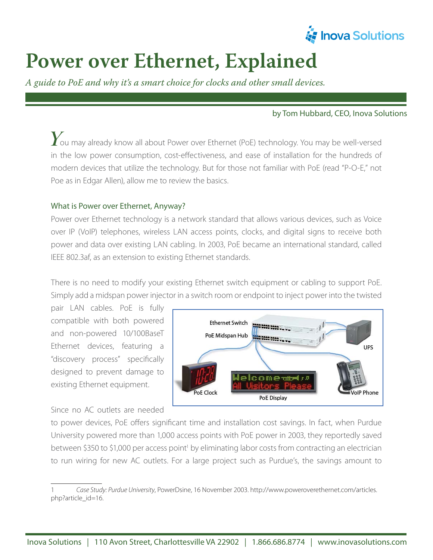

# **Power over Ethernet, Explained**

*A guide to PoE and why it's a smart choice for clocks and other small devices.*

#### by Tom Hubbard, CEO, Inova Solutions

 $\boldsymbol{Y}$ ou may already know all about Power over Ethernet (PoE) technology. You may be well-versed in the low power consumption, cost-effectiveness, and ease of installation for the hundreds of modern devices that utilize the technology. But for those not familiar with PoE (read "P-O-E," not Poe as in Edgar Allen), allow me to review the basics.

#### What is Power over Ethernet, Anyway?

Power over Ethernet technology is a network standard that allows various devices, such as Voice over IP (VoIP) telephones, wireless LAN access points, clocks, and digital signs to receive both power and data over existing LAN cabling. In 2003, PoE became an international standard, called IEEE 802.3af, as an extension to existing Ethernet standards.

There is no need to modify your existing Ethernet switch equipment or cabling to support PoE. Simply add a midspan power injector in a switch room or endpoint to inject power into the twisted

pair LAN cables. PoE is fully compatible with both powered and non-powered 10/100BaseT Ethernet devices, featuring a "discovery process" specifically designed to prevent damage to existing Ethernet equipment.

Since no AC outlets are needed



to power devices, PoE offers significant time and installation cost savings. In fact, when Purdue University powered more than 1,000 access points with PoE power in 2003, they reportedly saved between \$350 to \$1,000 per access point<sup>1</sup> by eliminating labor costs from contracting an electrician to run wiring for new AC outlets. For a large project such as Purdue's, the savings amount to

Case Study: Purdue University, PowerDsine, 16 November 2003. http://www.poweroverethernet.com/articles. php?article\_id=16.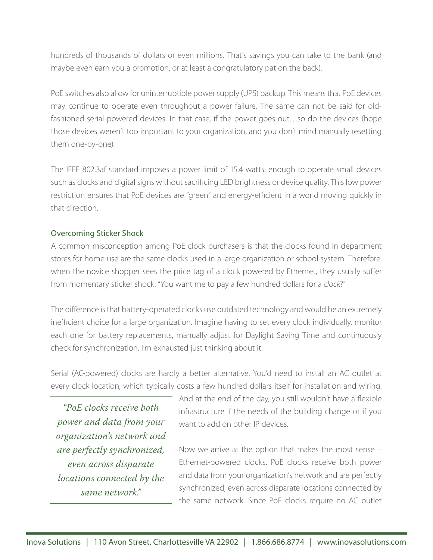hundreds of thousands of dollars or even millions. That's savings you can take to the bank (and maybe even earn you a promotion, or at least a congratulatory pat on the back).

PoE switches also allow for uninterruptible power supply (UPS) backup. This means that PoE devices may continue to operate even throughout a power failure. The same can not be said for oldfashioned serial-powered devices. In that case, if the power goes out…so do the devices (hope those devices weren't too important to your organization, and you don't mind manually resetting them one-by-one).

The IEEE 802.3af standard imposes a power limit of 15.4 watts, enough to operate small devices such as clocks and digital signs without sacrificing LED brightness or device quality. This low power restriction ensures that PoE devices are "green" and energy-efficient in a world moving quickly in that direction.

## Overcoming Sticker Shock

A common misconception among PoE clock purchasers is that the clocks found in department stores for home use are the same clocks used in a large organization or school system. Therefore, when the novice shopper sees the price tag of a clock powered by Ethernet, they usually suffer from momentary sticker shock. "You want me to pay a few hundred dollars for a clock?"

The difference is that battery-operated clocks use outdated technology and would be an extremely inefficient choice for a large organization. Imagine having to set every clock individually, monitor each one for battery replacements, manually adjust for Daylight Saving Time and continuously check for synchronization. I'm exhausted just thinking about it.

Serial (AC-powered) clocks are hardly a better alternative. You'd need to install an AC outlet at every clock location, which typically costs a few hundred dollars itself for installation and wiring.

*"PoE clocks receive both power and data from your organization's network and are perfectly synchronized, even across disparate locations connected by the same network."*

And at the end of the day, you still wouldn't have a flexible infrastructure if the needs of the building change or if you want to add on other IP devices.

Now we arrive at the option that makes the most sense – Ethernet-powered clocks. PoE clocks receive both power and data from your organization's network and are perfectly synchronized, even across disparate locations connected by the same network. Since PoE clocks require no AC outlet